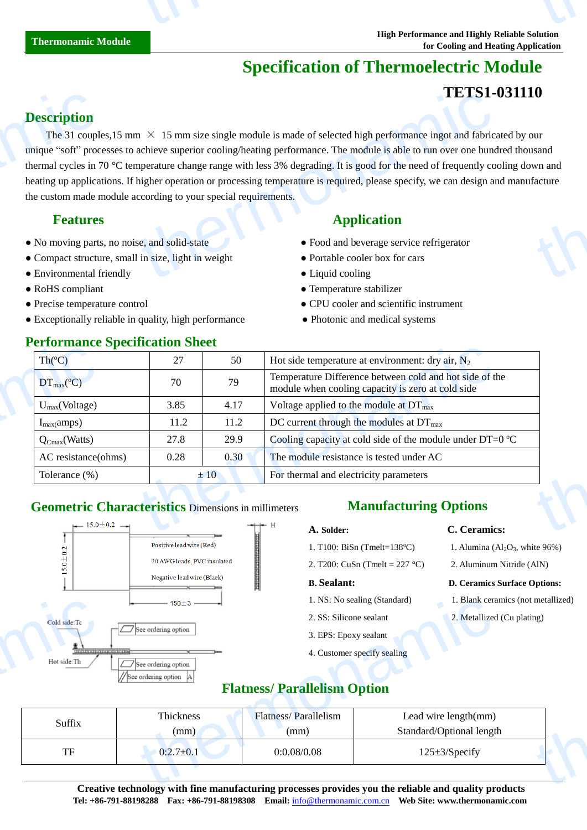# **Specification of Thermoelectric Module**

# **TETS1-031110**

### **Description**

The 31 couples, 15 mm  $\times$  15 mm size single module is made of selected high performance ingot and fabricated by our unique "soft" processes to achieve superior cooling/heating performance. The module is able to run over one hundred thousand thermal cycles in 70 °C temperature change range with less 3% degrading. It is good for the need of frequently cooling down and heating up applications. If higher operation or processing temperature is required, please specify, we can design and manufacture the custom made module according to your special requirements. **Description**<br>The 31 couple<br>unique "soft" proc<br>thermal cycles in 7<br>heating up applica<br>the custom made n<br>**Features**<br>• No moving parts<br>• Compact structu<br>• Environmental f  $\text{L}$   $\text{L}$   $\text{L}$   $\text{L}$   $\text{L}$   $\text{L}$   $\text{L}$   $\text{L}$   $\text{L}$   $\text{L}$   $\text{L}$   $\text{L}$   $\text{L}$   $\text{L}$   $\text{L}$   $\text{L}$   $\text{L}$   $\text{L}$   $\text{L}$   $\text{L}$   $\text{L}$   $\text{L}$  achieve superior cooling/heating performance. to the same of the same of the same of the same of the same of the same of the same of the same of the same of the same of the same of the same of the same of the same of the same of the same of the same of the same of the

- No moving parts, no noise, and solid-state Food and beverage service refrigerator
- Compact structure, small in size, light in weight Portable cooler box for cars
- Environmental friendly **Cooling Cooling Cooling**
- 
- 
- Exceptionally reliable in quality, high performance Photonic and medical systems

### **Performance Specification Sheet**

### **Features** Application **Application**

- 
- 
- 
- RoHS compliant <br>• Temperature stabilizer
- Precise temperature control CPU cooler and scientific instrument
	-

| Th(C)                         | 27   | 50   | Hot side temperature at environment: dry air, $N_2$                                                          |
|-------------------------------|------|------|--------------------------------------------------------------------------------------------------------------|
| $DT_{\text{max}}(\mathbb{C})$ | 70   | 79   | Temperature Difference between cold and hot side of the<br>module when cooling capacity is zero at cold side |
| $U_{max}(Voltage)$            | 3.85 | 4.17 | Voltage applied to the module at $DT_{\text{max}}$                                                           |
| $I_{max}(amps)$               | 11.2 | 11.2 | DC current through the modules at $DT_{\text{max}}$                                                          |
| $Q_{Cmax}(Watts)$             | 27.8 | 29.9 | Cooling capacity at cold side of the module under DT=0 $\mathbb{C}$                                          |
| AC resistance(ohms)           | 0.28 | 0.30 | The module resistance is tested under AC                                                                     |
| Tolerance $(\%)$              |      | ±10  | For thermal and electricity parameters                                                                       |

### **Geometric Characteristics** Dimensions in millimeters **Manufacturing Options**



- 1. T100: BiSn (Tmelt=138 $\mathbb{C}$ )
- 2. T200: CuSn (Tmelt = 227 °C) 2. Aluminum Nitride (AlN)

- 
- 
- 3. EPS: Epoxy sealant
- 4. Customer specify sealing
- **A. Solder: C. Ceramics:**
	- 1. Alumina  $(Al_2O_3,$  white 96%)
	-

### **B. Sealant: D. Ceramics Surface Options:**

- 1. NS: No sealing (Standard) 1. Blank ceramics (not metallized)
- 2. SS: Silicone sealant 2. Metallized (Cu plating)

### **Flatness/ Parallelism Option**

|                                                       | $150 \pm 3$ $\longrightarrow$                                                                                                                     | 1. NS: No sealing (Standard) |                             | . Blank ceramics (not metallized) |  |  |
|-------------------------------------------------------|---------------------------------------------------------------------------------------------------------------------------------------------------|------------------------------|-----------------------------|-----------------------------------|--|--|
| Cold side:Tc                                          |                                                                                                                                                   | 2. SS: Silicone sealant      |                             | 2. Metallized (Cu plating)        |  |  |
| $ \sqrt{\phantom{a}}\phantom{a} $ See ordering option | 3. EPS: Epoxy sealant                                                                                                                             |                              |                             |                                   |  |  |
| $\sum_{n=1}^{\infty}$<br>Hot side:Th                  | $\Box$ See ordering option                                                                                                                        |                              | 4. Customer specify sealing |                                   |  |  |
|                                                       | See ordering option                                                                                                                               |                              |                             |                                   |  |  |
| <b>Flatness/ Parallelism Option</b>                   |                                                                                                                                                   |                              |                             |                                   |  |  |
|                                                       | Thickness<br><b>Flatness/Parallelism</b>                                                                                                          |                              | Lead wire length(mm)        |                                   |  |  |
| Suffix<br>(mm)<br>(mm)                                | Standard/Optional length                                                                                                                          |                              |                             |                                   |  |  |
| TF                                                    | $0:2.7 \pm 0.1$                                                                                                                                   | 0:0.08/0.08                  | $125 \pm 3$ /Specify        |                                   |  |  |
|                                                       |                                                                                                                                                   |                              |                             |                                   |  |  |
|                                                       | $\alpha$ and the state of the $\alpha$ -state $\alpha$ -state of the second contribution of the state of $\alpha$ -state $\alpha$ -state $\alpha$ |                              |                             |                                   |  |  |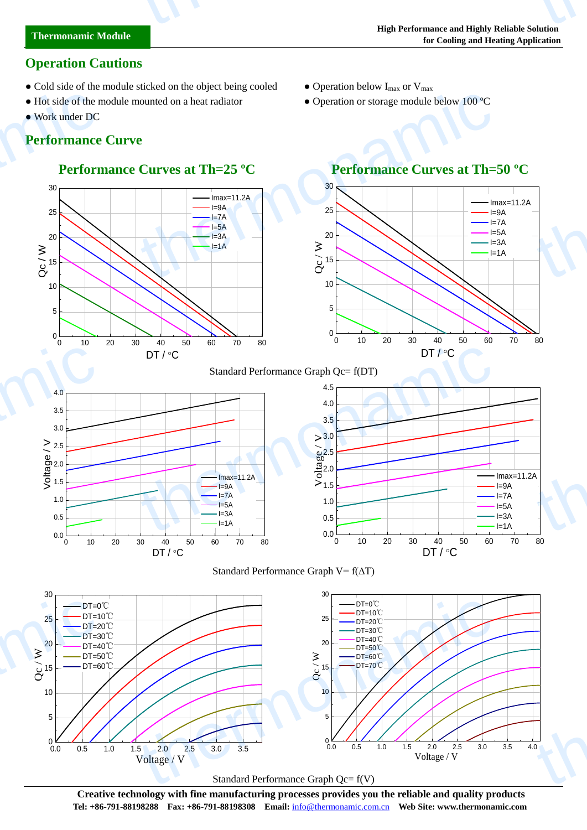# **Operation Cautions**

- Cold side of the module sticked on the object being cooled Operation below  $I_{\text{max}}$  or  $V_{\text{max}}$
- Hot side of the module mounted on a heat radiator Operation or storage module below 100  $\mathbb{C}$
- Work under DC

thermonamic

# **Performance Curve**

# **Performance Curves at Th=25 <sup>°</sup>C Performance Curves at Th=50 <sup>°</sup>C**



## 0 10 20 30 40 50 60 70 80 0  $5$   $\rightarrow$  $10 \rightarrow$  $15$  $20$   $\rightarrow$  $25 \rightarrow \rightarrow \rightarrow$  $30 \times 10^{-4}$ Imax=11.2A  $I=9A$  $I=7A$  $I=5A$  $I=3A$  $\frac{1}{\alpha}$ DT / °C thermonamic thermonamic

### Standard Performance Graph Qc= f(DT)









**Creative technology with fine manufacturing processes provides you the reliable and quality products Tel: +86-791-88198288 Fax: +86-791-88198308 Email:** info@thermonamic.com.cn **Web Site: www.thermonamic.com**